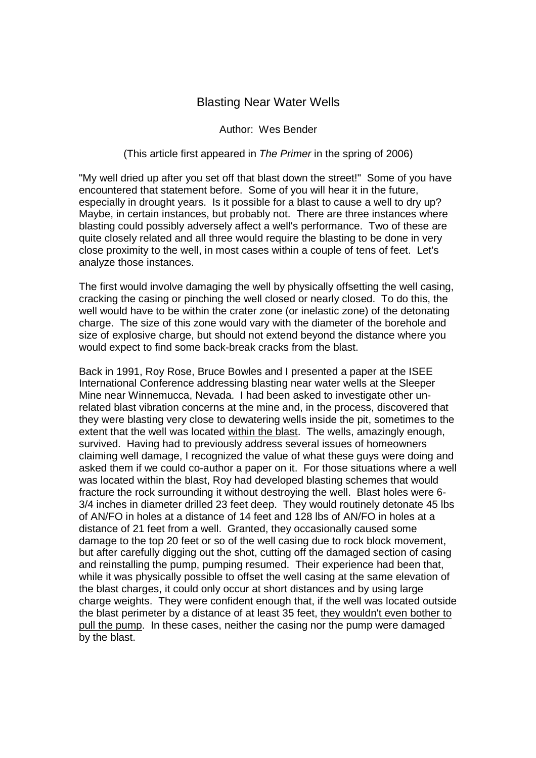## Blasting Near Water Wells

## Author: Wes Bender

## (This article first appeared in The Primer in the spring of 2006)

"My well dried up after you set off that blast down the street!" Some of you have encountered that statement before. Some of you will hear it in the future, especially in drought years. Is it possible for a blast to cause a well to dry up? Maybe, in certain instances, but probably not. There are three instances where blasting could possibly adversely affect a well's performance. Two of these are quite closely related and all three would require the blasting to be done in very close proximity to the well, in most cases within a couple of tens of feet. Let's analyze those instances.

The first would involve damaging the well by physically offsetting the well casing, cracking the casing or pinching the well closed or nearly closed. To do this, the well would have to be within the crater zone (or inelastic zone) of the detonating charge. The size of this zone would vary with the diameter of the borehole and size of explosive charge, but should not extend beyond the distance where you would expect to find some back-break cracks from the blast.

Back in 1991, Roy Rose, Bruce Bowles and I presented a paper at the ISEE International Conference addressing blasting near water wells at the Sleeper Mine near Winnemucca, Nevada. I had been asked to investigate other unrelated blast vibration concerns at the mine and, in the process, discovered that they were blasting very close to dewatering wells inside the pit, sometimes to the extent that the well was located within the blast. The wells, amazingly enough, survived. Having had to previously address several issues of homeowners claiming well damage, I recognized the value of what these guys were doing and asked them if we could co-author a paper on it. For those situations where a well was located within the blast, Roy had developed blasting schemes that would fracture the rock surrounding it without destroying the well. Blast holes were 6- 3/4 inches in diameter drilled 23 feet deep. They would routinely detonate 45 lbs of AN/FO in holes at a distance of 14 feet and 128 lbs of AN/FO in holes at a distance of 21 feet from a well. Granted, they occasionally caused some damage to the top 20 feet or so of the well casing due to rock block movement, but after carefully digging out the shot, cutting off the damaged section of casing and reinstalling the pump, pumping resumed. Their experience had been that, while it was physically possible to offset the well casing at the same elevation of the blast charges, it could only occur at short distances and by using large charge weights. They were confident enough that, if the well was located outside the blast perimeter by a distance of at least 35 feet, they wouldn't even bother to pull the pump. In these cases, neither the casing nor the pump were damaged by the blast.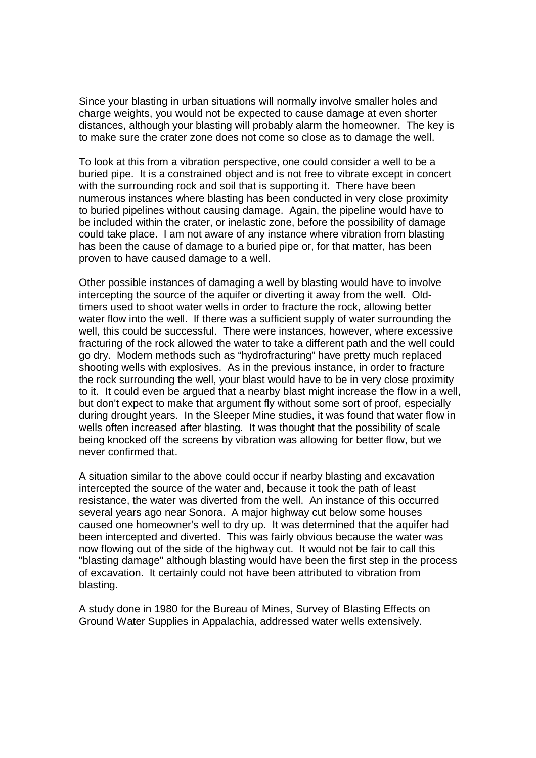Since your blasting in urban situations will normally involve smaller holes and charge weights, you would not be expected to cause damage at even shorter distances, although your blasting will probably alarm the homeowner. The key is to make sure the crater zone does not come so close as to damage the well.

To look at this from a vibration perspective, one could consider a well to be a buried pipe. It is a constrained object and is not free to vibrate except in concert with the surrounding rock and soil that is supporting it. There have been numerous instances where blasting has been conducted in very close proximity to buried pipelines without causing damage. Again, the pipeline would have to be included within the crater, or inelastic zone, before the possibility of damage could take place. I am not aware of any instance where vibration from blasting has been the cause of damage to a buried pipe or, for that matter, has been proven to have caused damage to a well.

Other possible instances of damaging a well by blasting would have to involve intercepting the source of the aquifer or diverting it away from the well. Oldtimers used to shoot water wells in order to fracture the rock, allowing better water flow into the well. If there was a sufficient supply of water surrounding the well, this could be successful. There were instances, however, where excessive fracturing of the rock allowed the water to take a different path and the well could go dry. Modern methods such as "hydrofracturing" have pretty much replaced shooting wells with explosives. As in the previous instance, in order to fracture the rock surrounding the well, your blast would have to be in very close proximity to it. It could even be argued that a nearby blast might increase the flow in a well, but don't expect to make that argument fly without some sort of proof, especially during drought years. In the Sleeper Mine studies, it was found that water flow in wells often increased after blasting. It was thought that the possibility of scale being knocked off the screens by vibration was allowing for better flow, but we never confirmed that.

A situation similar to the above could occur if nearby blasting and excavation intercepted the source of the water and, because it took the path of least resistance, the water was diverted from the well. An instance of this occurred several years ago near Sonora. A major highway cut below some houses caused one homeowner's well to dry up. It was determined that the aquifer had been intercepted and diverted. This was fairly obvious because the water was now flowing out of the side of the highway cut. It would not be fair to call this "blasting damage" although blasting would have been the first step in the process of excavation. It certainly could not have been attributed to vibration from blasting.

A study done in 1980 for the Bureau of Mines, Survey of Blasting Effects on Ground Water Supplies in Appalachia, addressed water wells extensively.